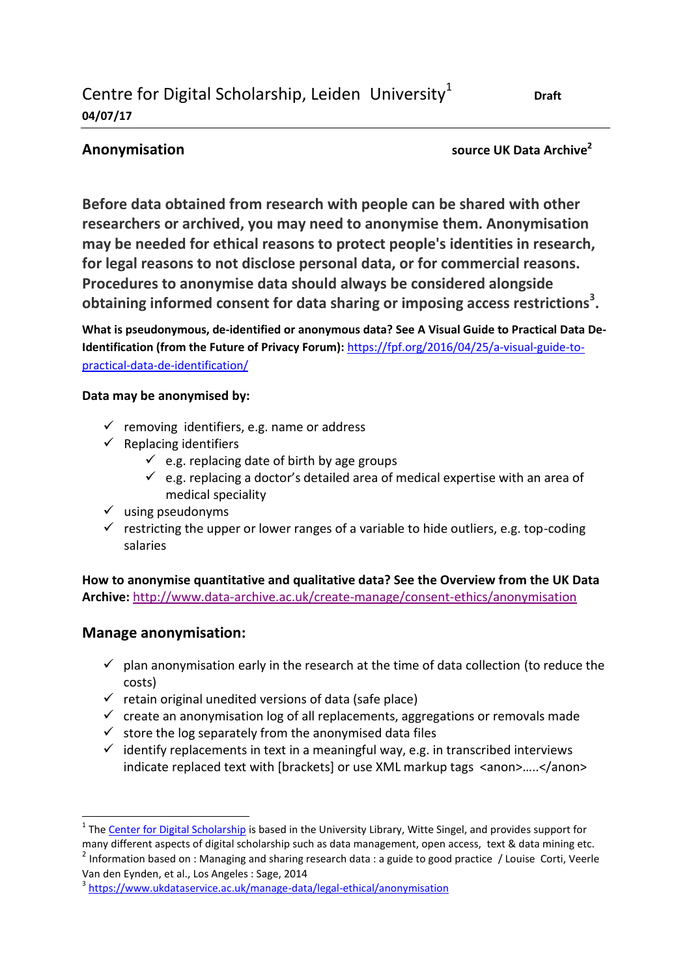**Anonymisation source UK Data Archive<sup>2</sup>**

**Draft** 

**Before data obtained from research with people can be shared with other researchers or archived, you may need to anonymise them. Anonymisation may be needed for ethical reasons to protect people's identities in research, for legal reasons to not disclose personal data, or for commercial reasons. Procedures to anonymise data should always be considered alongside obtaining informed consent for data sharing or imposing access restrictions<sup>3</sup> .**

**What is pseudonymous, de-identified or anonymous data? See A Visual Guide to Practical Data De-Identification (from the Future of Privacy Forum):** [https://fpf.org/2016/04/25/a-visual-guide-to](https://fpf.org/2016/04/25/a-visual-guide-to-practical-data-de-identification/)[practical-data-de-identification/](https://fpf.org/2016/04/25/a-visual-guide-to-practical-data-de-identification/)

### **Data may be anonymised by:**

- $\checkmark$  removing identifiers, e.g. name or address
- $\checkmark$  Replacing identifiers
	- $\checkmark$  e.g. replacing date of birth by age groups
	- $\checkmark$  e.g. replacing a doctor's detailed area of medical expertise with an area of medical speciality
- $\checkmark$  using pseudonyms
- $\checkmark$  restricting the upper or lower ranges of a variable to hide outliers, e.g. top-coding salaries

**How to anonymise quantitative and qualitative data? See the Overview from the UK Data Archive:** <http://www.data-archive.ac.uk/create-manage/consent-ethics/anonymisation>

## **Manage anonymisation:**

 $\overline{a}$ 

- $\checkmark$  plan anonymisation early in the research at the time of data collection (to reduce the costs)
- $\checkmark$  retain original unedited versions of data (safe place)
- $\checkmark$  create an anonymisation log of all replacements, aggregations or removals made
- $\checkmark$  store the log separately from the anonymised data files
- $\checkmark$  identify replacements in text in a meaningful way, e.g. in transcribed interviews indicate replaced text with [brackets] or use XML markup tags <anon>.....</anon>

<sup>2</sup> Information based on : Managing and sharing research data : a guide to good practice / Louise Corti, Veerle Van den Eynden, et al., Los Angeles : Sage, 2014

<sup>&</sup>lt;sup>1</sup> The <u>Center for Digital Scholarship</u> is based in the University Library, Witte Singel, and provides support for many different aspects of digital scholarship such as data management, open access, text & data mining etc.

<sup>&</sup>lt;sup>3</sup> <https://www.ukdataservice.ac.uk/manage-data/legal-ethical/anonymisation>